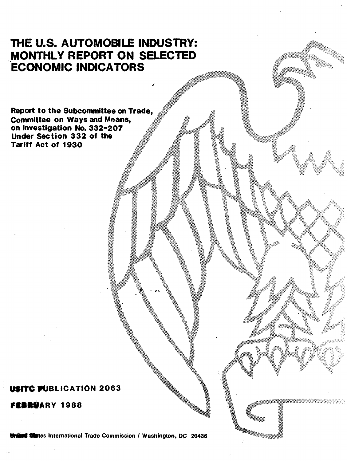# THE U.S. AUTOMOBILE INDUSTRY: MONTHLY REPORT ON SELECTED.<br>ECONOMIC INDICATORS

Report to the Subcommittee on Trade, **Committee on Ways and Means,** on Investigation No. 332-207 Under Section 332 of the Tariff Act of 1930

## USITC PUBLICATION 2063

FEBRUARY 1988

**States International Trade Commission / Washington, DC 20436**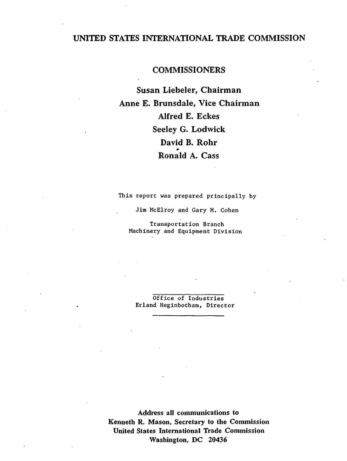### UNITED STATES INTERNATIONAL TRADE COMMISSION

### **COMMISSIONERS**

Susan Liebeler, Chairman Anne E. Brunsdale, Vice Chairman Alfred E. Eckes Seeley G. Lodwick David B. Rohr • Ronald A. Cass

This report was prepared principally by

Jim McElroy and Gary M. Cohen

Transportation Branch Machinery and Equipment Division

Office of Industries Erland Heginbotham, Director

Address all communications to Kenneth R. Mason, Secretary to the Commission United States International Trade Commission Washington, DC 20436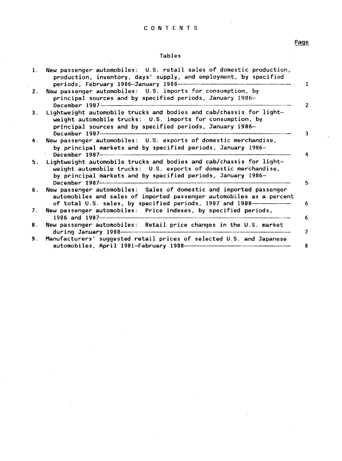#### Tables

| 1. | New passenger automobiles: U.S. retail sales of domestic production,<br>production, inventory, days' supply, and employment, by specified<br>periods, February 1986-January 1988-<br>L                                         |
|----|--------------------------------------------------------------------------------------------------------------------------------------------------------------------------------------------------------------------------------|
| 2. | New passenger automobiles: U.S. imports for consumption, by<br>principal sources and by specified periods, January 1986-<br>December 1987<br>$\mathbf{2}$                                                                      |
| 3. | Lightweight automobile trucks and bodies and cab/chassis for light-<br>weight automobile trucks: U.S. imports for consumption, by<br>principal sources and by specified periods, January 1986-<br>December 1987-<br>3          |
| 4. | New passenger automobiles: U.S. exports of domestic merchandise,<br>by principal markets and by specified periods, January 1986-<br>December 1987-1987-1980                                                                    |
| 5. | Lightweight automobile trucks and bodies and cab/chassis for light-<br>weight automobile trucks: U.S. exports of domestic merchandise,<br>by principal markets and by specified periods, January 1986-<br>5                    |
| 6. | New passenger automobiles: Sales of domestic and imported passenger<br>automobiles and sales of imported passenger automobiles as a percent<br>of total U.S. sales, by specified periods, 1987 and 1988------------------<br>6 |
| 7. | New passenger automobiles: Price indexes, by specified periods,<br>1986 and 1987<br>6                                                                                                                                          |
| 8. | New passenger automobiles: Retail price changes in the U.S. market<br>7                                                                                                                                                        |
| 9. | Manufacturers' suggested retail prices of selected U.S. and Japanese<br>8                                                                                                                                                      |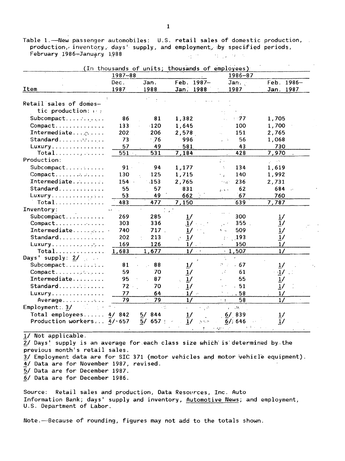Table 1. - New passenger automobiles: U.S. retail sales of domestic production, production, inventory, days' supply, and employment, by specified periods, February 1986-January 1988  $\sim$   $\sim$   $\sim$   $\sim$   $\sim$   $\sim$  $\chi_{\rm eff}$  and  $\chi_{\rm eff}$ 

|                                | 1987-88 |                     |                                          | 1986-87                            |                                 |
|--------------------------------|---------|---------------------|------------------------------------------|------------------------------------|---------------------------------|
|                                | Dec.    | Jan.                | 1987-<br>Feb.                            | Jan.                               | $1986 -$<br>Feb.                |
| Item                           | 1987    | 1988                | Jan. 1988                                | 1987                               | Jan. 1987                       |
|                                |         |                     |                                          |                                    |                                 |
| Retail sales of domes-         |         |                     |                                          |                                    |                                 |
| tic production: $\mathbf{r}$ : |         |                     |                                          |                                    |                                 |
| Subcompact                     | 86      | 81                  | 1,382                                    | $1 - 77$                           | 1,705                           |
| Compact                        | 133     | $-120$              | 1,645                                    | 100                                | 1,700                           |
| Intermediate $\alpha$          | 202     | 206                 | 2,578                                    | 151                                | 2,765                           |
| Standard                       | 73      | $\cdot$ 76          | 996                                      | 56                                 | 1,068                           |
| Luxury                         | 57      | 49                  | $-581$                                   | 43                                 | 730                             |
| Total                          | $551 -$ | 531                 | 7,184                                    | 428                                | 7,970                           |
| Production:                    |         |                     |                                          | φ.                                 | $\hat{\rho}$ and $\hat{\theta}$ |
| Subcompact                     | $91 -$  | 94                  | 1,177                                    | 134<br>÷.                          | 1,619                           |
| Compact                        | 130     | 125                 | 1,715                                    | 140<br>t v                         | 1,992                           |
| Intermediate                   | $154 -$ | <b>153</b>          | 2,765                                    | 236<br>13.4°                       | 2,731                           |
| Standard                       | 55      | 57                  | $-831$                                   | 62<br>1.3.5                        | 684                             |
| Luxury                         | 53      | 49                  | 662                                      | 67                                 | 760                             |
| Total                          | 483     | 477                 | 7,150                                    | 639                                | 7,787                           |
| Inventory:                     | $\sim$  |                     |                                          |                                    |                                 |
| Subcompact                     | 269     | 285                 | 1/                                       | 300                                |                                 |
| Compact                        | 303     | 336                 | 1/                                       | 355                                | $\frac{1}{1}$ /                 |
| Intermediate                   | 740     | 717.                | $\mathbf{1}$                             | 509                                | 1/                              |
| Standard                       | 202     | 213                 | $\frac{1}{2}$                            | 193                                | 1/                              |
| Luxury                         | 169     | 126                 |                                          | 150                                | 1/                              |
| Total                          | 1,683   | 1,677               | $\frac{1}{2}$<br>$\sim$ $\sim$ $\approx$ | 1,507                              | $\frac{1}{2}$                   |
| Days' supply: $2/$             |         |                     |                                          |                                    |                                 |
| Subcompact                     | 81      | 88                  |                                          | $-67$                              |                                 |
| Compact                        | 59      | 70                  |                                          | 61                                 | $\cdot$ 1                       |
| Intermediate                   | 95      | 87                  | $\frac{1}{2}$                            | 55                                 | $\frac{1}{2}$                   |
| Standard                       | $72 -$  | 70                  | 17                                       | .51                                | $\frac{1}{2}$                   |
| $L$ uxury                      | 77      | 64                  | $1/\sim$                                 | .58                                | 1/                              |
| Average                        | 79      | 79                  | $\frac{1}{2}$                            | 58<br>÷.                           | $\frac{1}{2}$                   |
| Emplogment: 3/                 |         | $\sim$ $^{16}_{10}$ | $\chi$ $\Delta$                          | $\mathcal{M}^{-1}$<br>$\mathbf{r}$ |                                 |
| Total employees                | 4/842   | 844<br>57           | 1/                                       | $6/$ 839                           |                                 |
| Production workers $4/1657$    |         | 657<br>5/           | $\frac{1}{2}$<br>$\Delta \sim 10^6$      | 6/1646                             | 1/                              |

1/ Not applicable.

2/ Days' supply is an average for each class size which is determined by the previous month's retail sales.

3/ Employment data are for SIC 371 (motor vehicles and motor vehicle equipment).

4/ Data are for November 1987, revised.

5/ Data are for December 1987.

6/ Data are for December 1986.

Retail sales and production, Data Resources, Inc. Auto Source: Information Bank; days' supply and inventory, Automotive News; and employment, U.S. Department of Labor.

Note.--Because of rounding, figures may not add to the totals shown.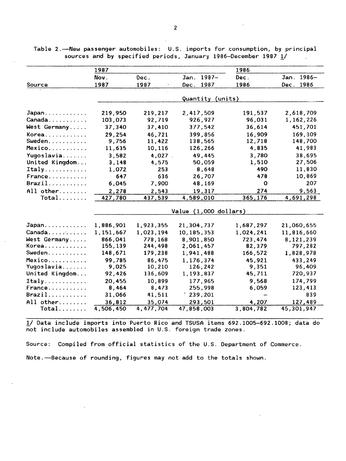|                   | 1987                  |           |                  | 1986        |                  |  |  |  |  |
|-------------------|-----------------------|-----------|------------------|-------------|------------------|--|--|--|--|
|                   | Nov.                  | Dec.      | $1987 -$<br>Jan. | Dec.        | $1986 -$<br>Jan. |  |  |  |  |
| Source            | 1987                  | 1987      | 1987<br>Dec.     | 1986        | 1986<br>Dec.     |  |  |  |  |
|                   |                       |           |                  |             |                  |  |  |  |  |
|                   |                       |           | Quantity (units) |             |                  |  |  |  |  |
| Japan             | 219,950               | 219,217   | 2,417,509        | 191,537     | 2,618,709        |  |  |  |  |
| Canada            | 103,073               | 92,719    | 926,927          | 96,031      | 1,162,226        |  |  |  |  |
| West Germany      | 37,340                | 37,410    | 377,542          | 36,614      | 451,701          |  |  |  |  |
| Korea             | 29,254                | 46,721    | 399,856          | 16,909      | 169,309          |  |  |  |  |
| Sweden            | 9,756                 | 11,422    | 138,565          | 12,718      | 148,700          |  |  |  |  |
| Mexico            | 11,635                | 10,116    | 126,266          | 4,835       | 41,983           |  |  |  |  |
| Yugoslavia        | 3,582                 | 4,027.    | 49,445           | 3,780       | 38,695           |  |  |  |  |
| United Kingdom    | 3,148                 | 4,575     | 50,059           | 1,510       | 27,506           |  |  |  |  |
| Italy             | 1,072                 | 253       | 8,648            | 490         | 11,830           |  |  |  |  |
| France            | 647                   | 636       | 26,707           | 478         | 10,869           |  |  |  |  |
| $\texttt{Brazil}$ | 6,045                 | 7,900     | 48,169           | $\mathbf 0$ | 207              |  |  |  |  |
| All other         | 2,278                 | 2,543     | 19,317           | 274         | 9,563            |  |  |  |  |
| $Total$           | 427,780               | 437,539   | 4,589,010        | 365,176     | 4,691,298        |  |  |  |  |
|                   | Value (1,000 dollars) |           |                  |             |                  |  |  |  |  |
| Japan             | 1,886,901             | 1,923,355 | 21,304,737       | 1,687,297   | 21,060,655       |  |  |  |  |
| Canada            | 1,151,667             | 1,023,194 | 10,185,353       | 1,024,241   | 11,816,660       |  |  |  |  |
| West Germany      | 866,041               | 778,168   | 8,901,850        | 723,474     | 8,121,239        |  |  |  |  |
| Korea             | 155,139               | 244,498   | 2,061,457        | 82,379      | 797,282          |  |  |  |  |
| Sweden.           | 148,671               | 179,238   | 1,941,488        | 166,572     | 1,828,978        |  |  |  |  |
| Mexico            | 99,785                | 86,475    | 1,176,374        | 45,921      | 433,249          |  |  |  |  |
| Yugoslavia        | 9,025                 | 10,210    | 126,242          | 9,351       | 96,409           |  |  |  |  |
| United Kingdom    | 92,426                | 136,609   | 1,193,837        | 45,711      | 720,937          |  |  |  |  |
| Italy             | 20,455                | 10,899    | 177,965          | 9,568       | 174,799          |  |  |  |  |
| France            | 8,464                 | 8,473     | 255,998          | 6,059       | 123,413          |  |  |  |  |
| Brazil            | 31,066                | 41,511    | 1239,201         |             | 839              |  |  |  |  |
| All other         | 36,812                | 35,074    | 293,501          | 4,207       | 127,489          |  |  |  |  |
| Total             | 4,506,450             | 4,477,704 | 47,858,003       | 3,804,782   | 45,301,947       |  |  |  |  |

Table 2.-New passenger automobiles: U.S. imports for consumption, by principal sources and by specified periods, January 1986-December 1987 1/

1/ Data include imports into Puerto Rico and TSUSA items 692.1005-692.1008; data do not include automobiles assembled in U.S. foreign trade zones.

Source: Compiled from official statistics of the U.S. Department of Commerce. Note.---Because of rounding, figures may not add to the totals shown.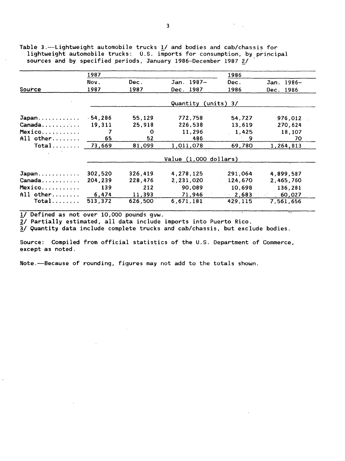|               | 1987      |          |                         | 1986         |                  |
|---------------|-----------|----------|-------------------------|--------------|------------------|
|               | Nov.      | Dec.     | Jan. 1987-              | Dec.         | $1986 -$<br>Jan. |
| <b>Source</b> | 1987      | 1987     | Dec. 1987               | 1986         | 1986<br>Dec.     |
|               |           |          | Quantity                | $(units)$ 3/ |                  |
| Japan         | $-54,286$ | 55,129   | 772,758                 | 54,727       | 976,012          |
| Canada        | 19,311    | 25,918   | 226,538                 | 13,619       | 270,624          |
| Mexico        |           | $\Omega$ | 11.296                  | 1,425        | 18,107           |
| All other     | 65        | 52       | 486                     | 9            | 70               |
|               | 73,669    | 81,099   | 1,011,078               | 69,780       | 1,264,813        |
|               |           |          | Value $(1,000$ dollars) |              |                  |
| Japan         | 302,520   | 326,419  | 4,278,125               | 291,064      | 4,899,587        |
| Canada        | 204,239   | 228,476  | 2,231,020               | 124,670      | 2,465,760        |
| Mexico        | 139       | 212      | 90,089                  | 10,698       | 136,281          |
| All other     | 6,474     | 11,393   | 71,946                  | 2,683        | 60,027           |
| $Total$       | 513,372   | 626.500  | 6,671,181               | 429,115      | 7,561,656        |

Table 3.-·Lightweight automobile trucks 1/ and bodies and cab/chassis for lightweight automobile trucks: U.S. imports for consumption, by principal sources and by specified periods, January 1986-December 1987 2/

!/ Defined as not over 10,000 pounds gvw.

 $\overline{2}$ / Partially estimated, all data include imports into Puerto Rico.

*Y Y* arrivally coolmated, all data include imports from racres miss.<br>3/ Quantity data include complete trucks and cab/chassis, but exclude bodies.

Source: Compiled from official statistics of the U.S. Department of Commerce, except as noted.

Note.-Because of rounding, figures may not add to the totals shown.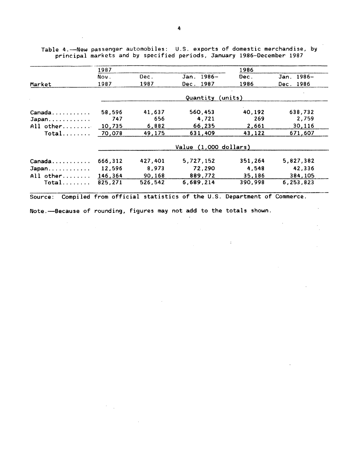|           | 1987                       |         |                  | 1986    |            |  |  |  |  |
|-----------|----------------------------|---------|------------------|---------|------------|--|--|--|--|
|           | Nov.                       | Dec.    | $1986 -$<br>Jan. | Dec.    | Jan. 1986- |  |  |  |  |
| Market    | 1987                       | 1987    | 1987<br>Dec.     | 1986    | Dec. 1986  |  |  |  |  |
|           |                            |         | Quantity         | (units) |            |  |  |  |  |
| Canada    | 58,596                     | 41,637  | 560,453          | 40,192  | 638,732    |  |  |  |  |
| Japan     | 747                        | 656     | 4,721            | 269     | 2,759      |  |  |  |  |
| All other | 10,735                     | 6,882   | 66,235           | 2,661   | 30,116     |  |  |  |  |
| Total     | 70,078                     | 49,175  | 631,409          | 43,122  | 671,607    |  |  |  |  |
|           | $(1,000$ dollars)<br>Value |         |                  |         |            |  |  |  |  |
| Canada    | 666,312                    | 427,401 | 5,727,152        | 351,264 | 5,827,382  |  |  |  |  |
| Japan     | 12,596                     | 8,973   | 72,290           | 4,548   | 42,336     |  |  |  |  |
| All other | 146,364                    | 90,168  | 889,772          | 35,186  | 384,105    |  |  |  |  |
| $Total$   | 825,271                    | 526,542 | 6.689.214        | 390.998 | 6,253,823  |  |  |  |  |

 $\mathcal{L}(\mathcal{A})$  and  $\mathcal{L}(\mathcal{A})$ 

 $\label{eq:2.1} \frac{1}{\sqrt{2\pi}}\int_{\mathbb{R}^{2}}\frac{1}{\sqrt{2\pi}}\left(\frac{1}{\sqrt{2\pi}}\right)^{2}d\mu\left(\frac{1}{\sqrt{2\pi}}\right)=\frac{1}{2\sqrt{2\pi}}\int_{\mathbb{R}^{2}}\frac{1}{\sqrt{2\pi}}\frac{d\mu}{\sqrt{2\pi}}\frac{d\mu}{\sqrt{2\pi}}\frac{d\mu}{\sqrt{2\pi}}\frac{d\mu}{\sqrt{2\pi}}\frac{d\mu}{\sqrt{2\pi}}\frac{d\mu}{\sqrt{2\pi}}\frac{d\mu}{\sqrt{2\pi}}$ 

Table 4.·--New passenger automobiles: U.S. exports of domestic merchandise, by principal markets and by specified periods, January 1~86-December 1987

 $\sim$ 

 $\mathcal{F}^{\mathcal{G}}_{\mathcal{G}}(1)$ 

Note.-Because of rounding, figures may not add to the totals shown.

 $\sim$ 

 $\sim 10^6$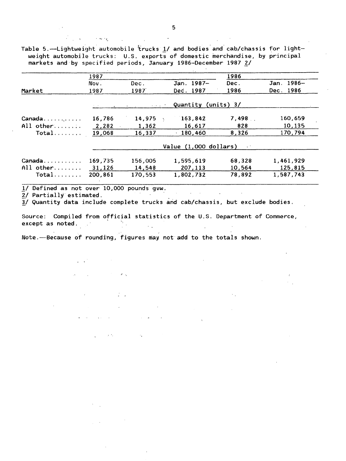Table 5.-Lightweight automobile trucks 1/ and bodies and cab/chassis for lightweight automobile trucks: U.S. exports of domestic merchandise, by principal markets and by specified periods, January 1986-December 1987 2/

|           | 1987    |                                     |                       | 1986         |            |
|-----------|---------|-------------------------------------|-----------------------|--------------|------------|
|           | Nov.    | Dec.                                | Jan. 1987-            | Dec.         | Jan. 1986- |
| Market    | 1987    | 1987                                | Dec. 1987             | 1986         | Dec. 1986  |
|           |         | <b>Contract Community</b> Community |                       | $(units)$ 3/ |            |
| Canada    | 16,786  | 14,975                              | 163,842               | $7,498$ .    | 160,659    |
| All other | 2,282   | 1,362                               | 16,617                | 828          | 10,135     |
| Total     | 19,068  | 16,337                              | 180,460               | 8,326        | 170,794    |
|           |         |                                     | Value (1,000 dollars) |              |            |
| Canada.   | 169,735 | 156,005                             | 1,595,619             | 68,328       | 1,461,929  |
| All other | 31,126  | 14,548                              | 207,113               | 10.564       | 125,815    |
| Total     | 200,861 | 170,553                             | 1,802,732             | 78,892       | 1,587,743  |

*11* Defined as not over 10,000 pounds gvw.

. ....., ·1.

2/ Partially estimated.

 $\overline{3}$ / Quantity data include complete trucks and cab/chassis, but exclude bodies.

Source: Compiled from official statistics of the U.S. Department of Commerce, except as noted.

Note.-Because of rounding, figures may not add to the totals shown.

 $\mathcal{L}_\mathbf{A}$ 

 $\dot{r}$  .

 $\mu$   $\sigma_{\rm{e}}$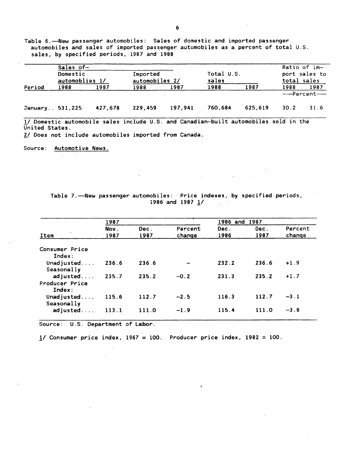Table 6.-New passenger automobiles: Sales of domestic and imported passenger automobiles and sales of imported passenger automobiles as a percent of total U.S. sales, by specified periods, 1987 and 1988

|                 | Sales of-<br>Domestic<br>automoblies 1/ |         | Imported<br>automobiles 2/ |         | Total U.S.<br>sales | Ratio of im-<br>port sales to<br>total sales |      |                          |
|-----------------|-----------------------------------------|---------|----------------------------|---------|---------------------|----------------------------------------------|------|--------------------------|
| Period          | 1988                                    | 1987    | 1988                       | 1987    | 1988                | 1987                                         | 1988 | 1987<br>-----Percent---- |
| January 531,225 |                                         | 427.678 | 229,459                    | 197.941 | 760.684             | 625.619                                      | 30.2 | 31.6                     |

1/ Domestic automobile sales include U.S. and Canadian-built automobiles sold in the United States.

2/ Does not include automobiles imported from Canada.

Source: Automotive News.

 $\sim$ 

Table 7.-New passenger automobiles: Price indexes, by specified periods, 1986 and 1987  $1/$ 

 $\mathcal{L} = \mathcal{L} \mathcal{L}$  .

|                                      | 1987         |              |                   | 1986 and     | 1987         |                   |
|--------------------------------------|--------------|--------------|-------------------|--------------|--------------|-------------------|
| $\sim 2$<br>Item                     | Nov.<br>1987 | Dec.<br>1987 | Percent<br>change | Dec.<br>1986 | Dec.<br>1987 | Percent<br>change |
| Consumer Price<br>Index:             |              |              |                   |              |              |                   |
| Unadjusted<br>Seasonally             | 236.6        | 236.6        |                   | 232.2        | 236.6        | $+1.9$            |
| adjusted<br>Producer Price<br>Index: | 235.7        | 235.2        | $-0.2$            | 231.3        | 235.2        | $+1.7$            |
| Unadjusted<br>Seasonally             | 115.6        | 112.7        | $-2.5$            | 116.3        | 112.7        | $-3.1$            |
| adjusted                             | 113.1        | 111.0        | $-1.9$            | 115.4        | 111.0        | $-3.8$            |

Source: U.S. Department of Labor.

1/ Consumer price index, 1967 = 100. Producer price index, 1982 = 100.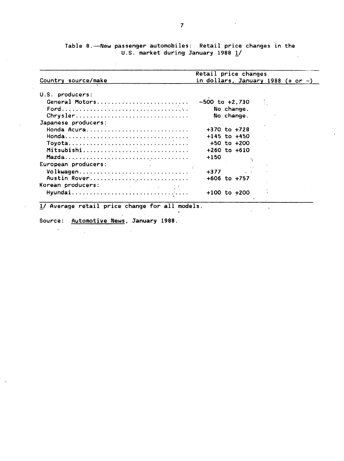Table 8.~New passenger automobiles: Retail price changes in the U.S. market during January 1988 1/  $\mathbb{R}^2$ 

| Country source/make                                                                                                                                                                                                            | Retail price changes<br>in dollars, January 1988 $(+ or -)$ |  |
|--------------------------------------------------------------------------------------------------------------------------------------------------------------------------------------------------------------------------------|-------------------------------------------------------------|--|
| U.S. producers:                                                                                                                                                                                                                |                                                             |  |
| General Motors                                                                                                                                                                                                                 | <b>C</b><br>$-500$ to $+2,730$                              |  |
|                                                                                                                                                                                                                                | No change.                                                  |  |
| $Chrysler$                                                                                                                                                                                                                     | No change.                                                  |  |
| Japanese producers:                                                                                                                                                                                                            |                                                             |  |
| Honda Acura                                                                                                                                                                                                                    | $+370$ to $+728$                                            |  |
|                                                                                                                                                                                                                                | $+145$ to $+450$                                            |  |
|                                                                                                                                                                                                                                | $+50$ to $+200$                                             |  |
| Mitsubishi                                                                                                                                                                                                                     | $+260$ to $+610$                                            |  |
|                                                                                                                                                                                                                                | $+150$                                                      |  |
| European producers:                                                                                                                                                                                                            |                                                             |  |
| Volkwagen                                                                                                                                                                                                                      | $+377$<br><b>Contract Contract</b>                          |  |
| Austin Rover                                                                                                                                                                                                                   | $+606$ to $+757$                                            |  |
| Korean producers: Electric Contract of the Second Second Second Second Second Second Second Second Second Second Second Second Second Second Second Second Second Second Second Second Second Second Second Second Second Seco |                                                             |  |
| Hyundai                                                                                                                                                                                                                        | $+100$ to $+200$                                            |  |

 $1/$  Average retail price change for all models.

 $\mathcal{L}^{\mathcal{L}}$ 

Source: Automotive News, January 1988.

 $\mathcal{L}^{\mathcal{A}}$ 

 $\sim$  1.